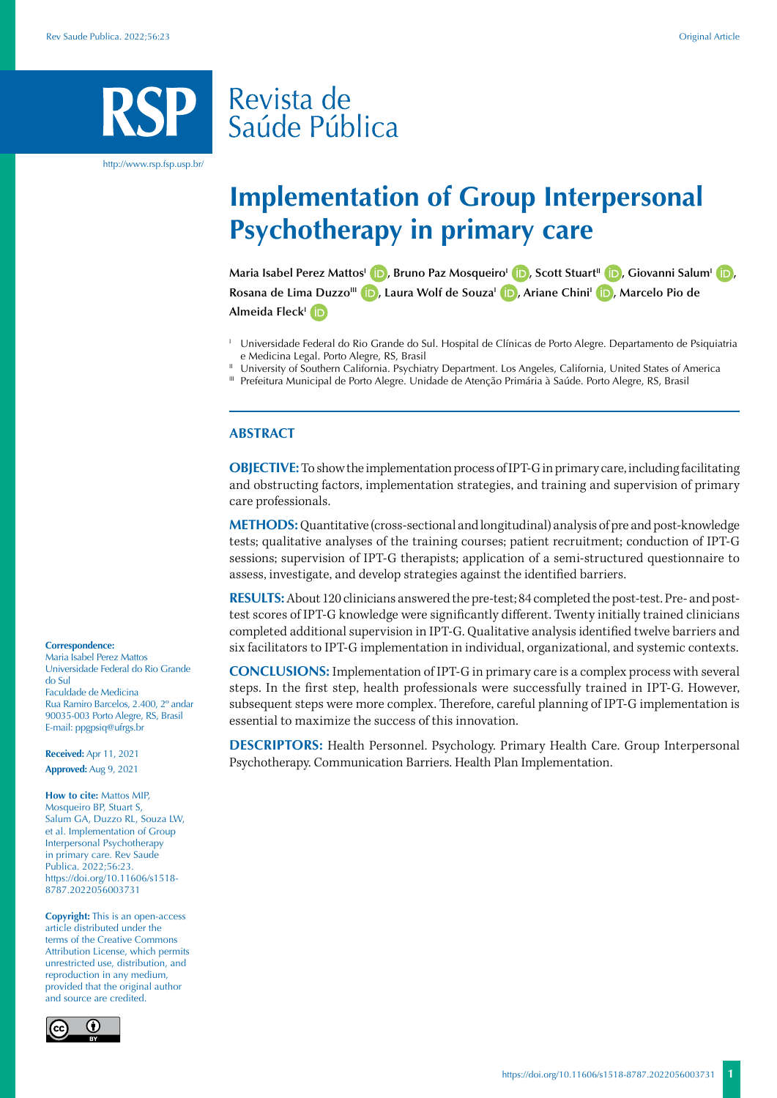# Revista de Saúde Pública

http://www.rsp.fsp.usp.br/

# **Implementation of Group Interpersonal Psychotherapy in primary care**

**Maria Isabel Perez Mattos<sup>I</sup> <b>D**[,](https://orcid.org/0000-0002-7537-7289) Bruno Paz Mosqueiro<sup>I</sup> **D**[,](https://orcid.org/0000-0003-2301-3405) Scott Stuart<sup>II</sup> **D**, Giovanni Salum<sup>I</sup> **D**, **Rosana de Lima DuzzoIII [,](https://orcid.org/0000-0001-9477-3968) Laura Wolf de SouzaI [,](https://orcid.org/0000-0001-6090-1845) Ariane ChiniI [,](https://orcid.org/0000-0002-5848-9043) Marcelo Pio de Almeida Fleck<sup>I</sup> ID** 

- <sup>1</sup> Universidade Federal do Rio Grande do Sul. Hospital de Clínicas de Porto Alegre. Departamento de Psiquiatria e Medicina Legal. Porto Alegre, RS, Brasil
- <sup>II</sup> University of Southern California. Psychiatry Department. Los Angeles, California, United States of America
- III Prefeitura Municipal de Porto Alegre. Unidade de Atenção Primária à Saúde. Porto Alegre, RS, Brasil

#### **ABSTRACT**

**OBJECTIVE:** To show the implementation process of IPT-G in primary care, including facilitating and obstructing factors, implementation strategies, and training and supervision of primary care professionals.

**METHODS:** Quantitative (cross-sectional and longitudinal) analysis of pre and post-knowledge tests; qualitative analyses of the training courses; patient recruitment; conduction of IPT-G sessions; supervision of IPT-G therapists; application of a semi-structured questionnaire to assess, investigate, and develop strategies against the identified barriers.

**RESULTS:** About 120 clinicians answered the pre-test; 84 completed the post-test. Pre- and posttest scores of IPT-G knowledge were significantly different. Twenty initially trained clinicians completed additional supervision in IPT-G. Qualitative analysis identified twelve barriers and six facilitators to IPT-G implementation in individual, organizational, and systemic contexts.

**CONCLUSIONS:** Implementation of IPT-G in primary care is a complex process with several steps. In the first step, health professionals were successfully trained in IPT-G. However, subsequent steps were more complex. Therefore, careful planning of IPT-G implementation is essential to maximize the success of this innovation.

**DESCRIPTORS:** Health Personnel. Psychology. Primary Health Care. Group Interpersonal Psychotherapy. Communication Barriers. Health Plan Implementation.

#### **Correspondence:**

Maria Isabel Perez Mattos Universidade Federal do Rio Grande do Sul Faculdade de Medicina Rua Ramiro Barcelos, 2.400, 2º andar 90035-003 Porto Alegre, RS, Brasil E-mail: ppgpsiq@ufrgs.br

**Received:** Apr 11, 2021 **Approved:** Aug 9, 2021

**How to cite:** Mattos MIP, Mosqueiro BP, Stuart S, Salum GA, Duzzo RL, Souza LW, et al. Implementation of Group Interpersonal Psychotherapy in primary care. Rev Saude Publica. 2022;56:23. https://doi.org/10.11606/s1518- 8787.2022056003731

**Copyright:** This is an open-access article distributed under the terms of the Creative Commons Attribution License, which permits unrestricted use, distribution, and reproduction in any medium, provided that the original author and source are credited.

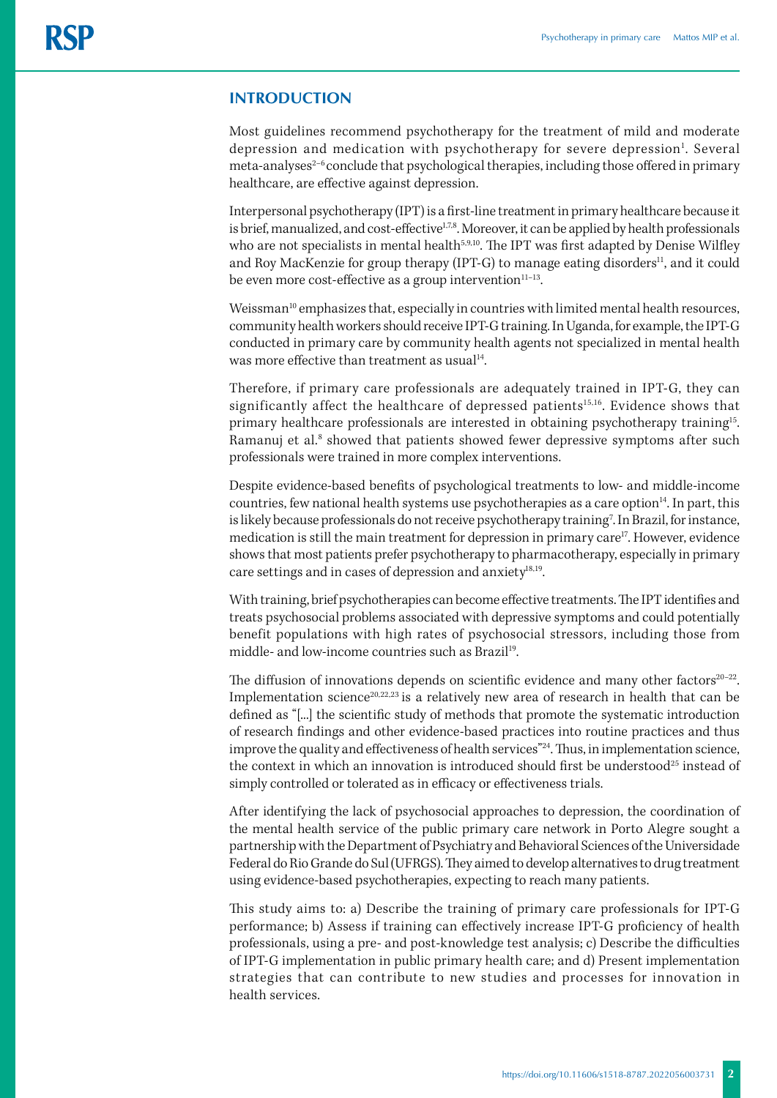# **INTRODUCTION**

Most guidelines recommend psychotherapy for the treatment of mild and moderate depression and medication with psychotherapy for severe depression<sup>1</sup>. Several meta-analyses<sup>2-6</sup> conclude that psychological therapies, including those offered in primary healthcare, are effective against depression.

Interpersonal psychotherapy (IPT) is a first-line treatment in primary healthcare because it is brief, manualized, and cost-effective<sup>1,7,8</sup>. Moreover, it can be applied by health professionals who are not specialists in mental health<sup>5,9,10</sup>. The IPT was first adapted by Denise Wilfley and Roy MacKenzie for group therapy (IPT-G) to manage eating disorders<sup>11</sup>, and it could be even more cost-effective as a group intervention $11-13$ .

Weissman<sup>10</sup> emphasizes that, especially in countries with limited mental health resources, community health workers should receive IPT-G training. In Uganda, for example, the IPT-G conducted in primary care by community health agents not specialized in mental health was more effective than treatment as usual<sup>14</sup>.

Therefore, if primary care professionals are adequately trained in IPT-G, they can significantly affect the healthcare of depressed patients<sup>15,16</sup>. Evidence shows that primary healthcare professionals are interested in obtaining psychotherapy training15. Ramanuj et al.<sup>8</sup> showed that patients showed fewer depressive symptoms after such professionals were trained in more complex interventions.

Despite evidence-based benefits of psychological treatments to low- and middle-income countries, few national health systems use psychotherapies as a care option<sup>14</sup>. In part, this is likely because professionals do not receive psychotherapy training<sup>7</sup>. In Brazil, for instance, medication is still the main treatment for depression in primary care17. However, evidence shows that most patients prefer psychotherapy to pharmacotherapy, especially in primary care settings and in cases of depression and anxiety $18,19$ .

With training, brief psychotherapies can become effective treatments. The IPT identifies and treats psychosocial problems associated with depressive symptoms and could potentially benefit populations with high rates of psychosocial stressors, including those from middle- and low-income countries such as Brazil<sup>19</sup>.

The diffusion of innovations depends on scientific evidence and many other factors $20-22$ . Implementation science<sup>20,22,23</sup> is a relatively new area of research in health that can be defined as "[...] the scientific study of methods that promote the systematic introduction of research findings and other evidence-based practices into routine practices and thus improve the quality and effectiveness of health services"<sup>24</sup>. Thus, in implementation science, the context in which an innovation is introduced should first be understood<sup>25</sup> instead of simply controlled or tolerated as in efficacy or effectiveness trials.

After identifying the lack of psychosocial approaches to depression, the coordination of the mental health service of the public primary care network in Porto Alegre sought a partnership with the Department of Psychiatry and Behavioral Sciences of the Universidade Federal do Rio Grande do Sul (UFRGS). They aimed to develop alternatives to drug treatment using evidence-based psychotherapies, expecting to reach many patients.

This study aims to: a) Describe the training of primary care professionals for IPT-G performance; b) Assess if training can effectively increase IPT-G proficiency of health professionals, using a pre- and post-knowledge test analysis; c) Describe the difficulties of IPT-G implementation in public primary health care; and d) Present implementation strategies that can contribute to new studies and processes for innovation in health services.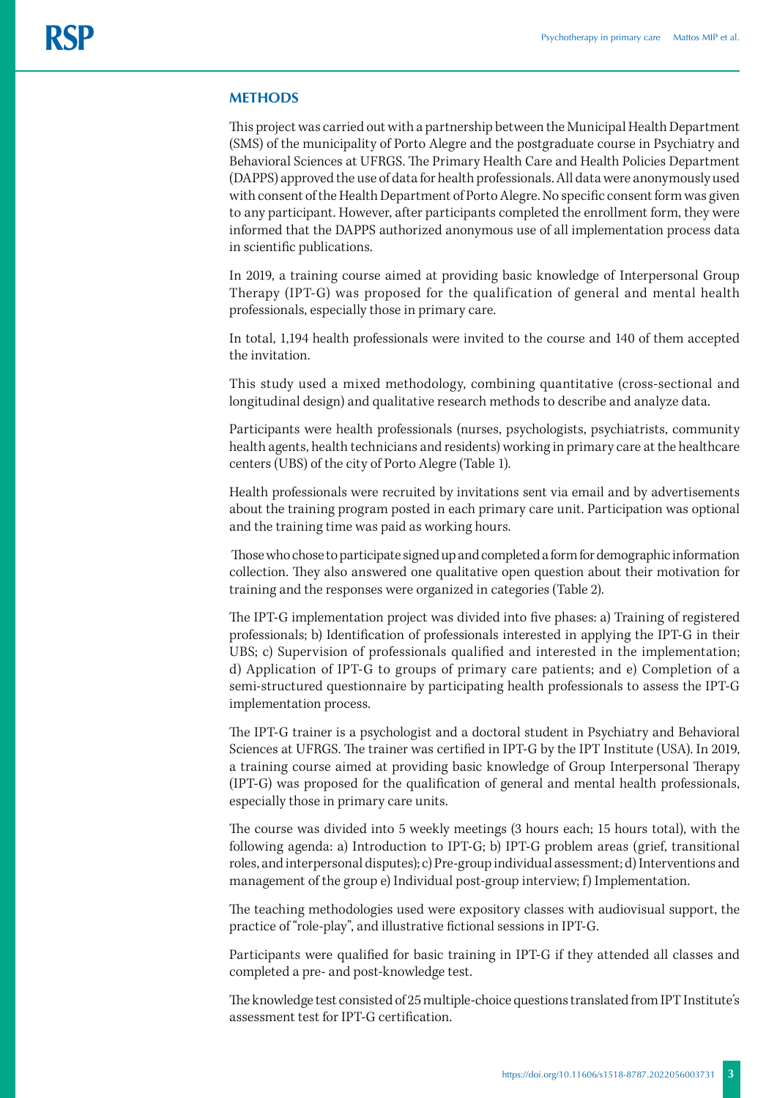## **METHODS**

This project was carried out with a partnership between the Municipal Health Department (SMS) of the municipality of Porto Alegre and the postgraduate course in Psychiatry and Behavioral Sciences at UFRGS. The Primary Health Care and Health Policies Department (DAPPS) approved the use of data for health professionals. All data were anonymously used with consent of the Health Department of Porto Alegre. No specific consent form was given to any participant. However, after participants completed the enrollment form, they were informed that the DAPPS authorized anonymous use of all implementation process data in scientific publications.

In 2019, a training course aimed at providing basic knowledge of Interpersonal Group Therapy (IPT-G) was proposed for the qualification of general and mental health professionals, especially those in primary care.

In total, 1,194 health professionals were invited to the course and 140 of them accepted the invitation.

This study used a mixed methodology, combining quantitative (cross-sectional and longitudinal design) and qualitative research methods to describe and analyze data.

Participants were health professionals (nurses, psychologists, psychiatrists, community health agents, health technicians and residents) working in primary care at the healthcare centers (UBS) of the city of Porto Alegre (Table 1).

Health professionals were recruited by invitations sent via email and by advertisements about the training program posted in each primary care unit. Participation was optional and the training time was paid as working hours.

 Those who chose to participate signed up and completed a form for demographic information collection. They also answered one qualitative open question about their motivation for training and the responses were organized in categories (Table 2).

The IPT-G implementation project was divided into five phases: a) Training of registered professionals; b) Identification of professionals interested in applying the IPT-G in their UBS; c) Supervision of professionals qualified and interested in the implementation; d) Application of IPT-G to groups of primary care patients; and e) Completion of a semi-structured questionnaire by participating health professionals to assess the IPT-G implementation process.

The IPT-G trainer is a psychologist and a doctoral student in Psychiatry and Behavioral Sciences at UFRGS. The trainer was certified in IPT-G by the IPT Institute (USA). In 2019, a training course aimed at providing basic knowledge of Group Interpersonal Therapy (IPT-G) was proposed for the qualification of general and mental health professionals, especially those in primary care units.

The course was divided into 5 weekly meetings (3 hours each; 15 hours total), with the following agenda: a) Introduction to IPT-G; b) IPT-G problem areas (grief, transitional roles, and interpersonal disputes); c) Pre-group individual assessment; d) Interventions and management of the group e) Individual post-group interview; f) Implementation.

The teaching methodologies used were expository classes with audiovisual support, the practice of "role-play", and illustrative fictional sessions in IPT-G.

Participants were qualified for basic training in IPT-G if they attended all classes and completed a pre- and post-knowledge test.

The knowledge test consisted of 25 multiple-choice questions translated from IPT Institute's assessment test for IPT-G certification.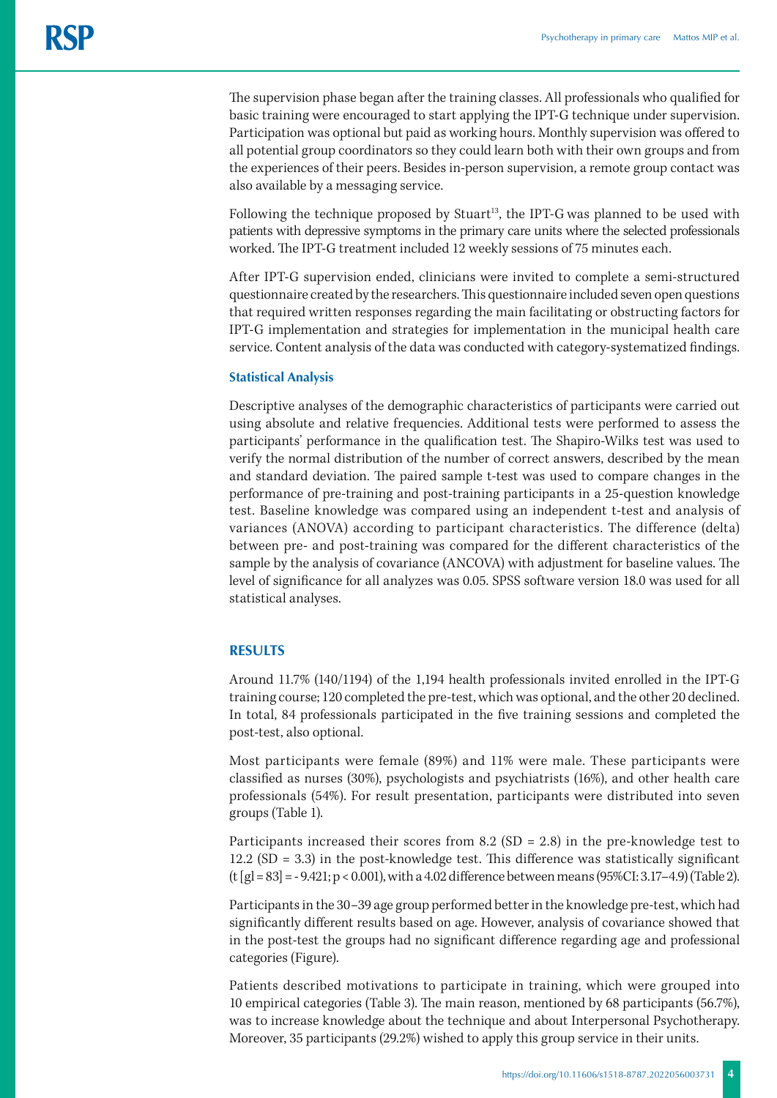The supervision phase began after the training classes. All professionals who qualified for basic training were encouraged to start applying the IPT-G technique under supervision. Participation was optional but paid as working hours. Monthly supervision was offered to all potential group coordinators so they could learn both with their own groups and from the experiences of their peers. Besides in-person supervision, a remote group contact was also available by a messaging service.

Following the technique proposed by Stuart<sup>13</sup>, the IPT-G was planned to be used with patients with depressive symptoms in the primary care units where the selected professionals worked. The IPT-G treatment included 12 weekly sessions of 75 minutes each.

After IPT-G supervision ended, clinicians were invited to complete a semi-structured questionnaire created by the researchers. This questionnaire included seven open questions that required written responses regarding the main facilitating or obstructing factors for IPT-G implementation and strategies for implementation in the municipal health care service. Content analysis of the data was conducted with category-systematized findings.

#### **Statistical Analysis**

Descriptive analyses of the demographic characteristics of participants were carried out using absolute and relative frequencies. Additional tests were performed to assess the participants' performance in the qualification test. The Shapiro-Wilks test was used to verify the normal distribution of the number of correct answers, described by the mean and standard deviation. The paired sample t-test was used to compare changes in the performance of pre-training and post-training participants in a 25-question knowledge test. Baseline knowledge was compared using an independent t-test and analysis of variances (ANOVA) according to participant characteristics. The difference (delta) between pre- and post-training was compared for the different characteristics of the sample by the analysis of covariance (ANCOVA) with adjustment for baseline values. The level of significance for all analyzes was 0.05. SPSS software version 18.0 was used for all statistical analyses.

## **RESULTS**

Around 11.7% (140/1194) of the 1,194 health professionals invited enrolled in the IPT-G training course; 120 completed the pre-test, which was optional, and the other 20 declined. In total, 84 professionals participated in the five training sessions and completed the post-test, also optional.

Most participants were female (89%) and 11% were male. These participants were classified as nurses (30%), psychologists and psychiatrists (16%), and other health care professionals (54%). For result presentation, participants were distributed into seven groups (Table 1).

Participants increased their scores from 8.2 (SD = 2.8) in the pre-knowledge test to  $12.2$  (SD = 3.3) in the post-knowledge test. This difference was statistically significant (t [gl = 83] = - 9.421; p < 0.001), with a 4.02 difference between means (95%CI: 3.17–4.9) (Table 2).

Participants in the 30–39 age group performed better in the knowledge pre-test, which had significantly different results based on age. However, analysis of covariance showed that in the post-test the groups had no significant difference regarding age and professional categories (Figure).

Patients described motivations to participate in training, which were grouped into 10 empirical categories (Table 3). The main reason, mentioned by 68 participants (56.7%), was to increase knowledge about the technique and about Interpersonal Psychotherapy. Moreover, 35 participants (29.2%) wished to apply this group service in their units.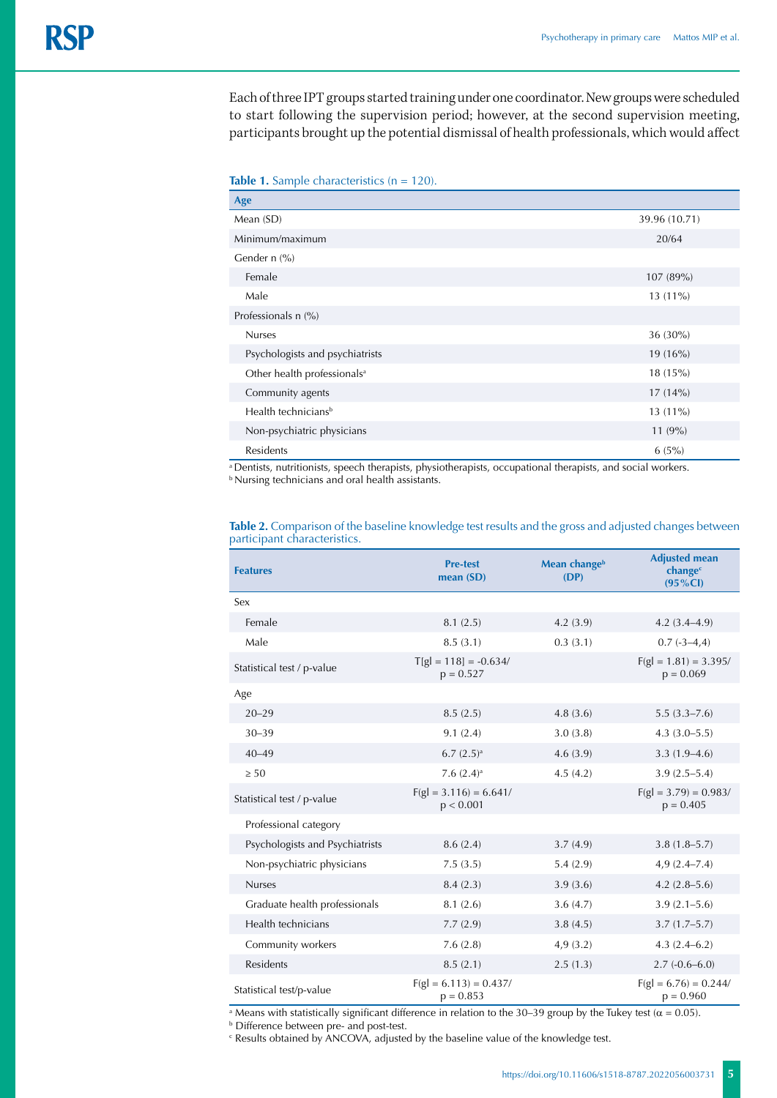Each of three IPT groups started training under one coordinator. New groups were scheduled to start following the supervision period; however, at the second supervision meeting, participants brought up the potential dismissal of health professionals, which would affect

|  |  | Table 1. Sample characteristics ( $n = 120$ ). |  |  |
|--|--|------------------------------------------------|--|--|
|--|--|------------------------------------------------|--|--|

| Age                                     |               |
|-----------------------------------------|---------------|
| Mean (SD)                               | 39.96 (10.71) |
| Minimum/maximum                         | 20/64         |
| Gender $n$ (%)                          |               |
| Female                                  | 107 (89%)     |
| Male                                    | 13 (11%)      |
| Professionals n (%)                     |               |
| <b>Nurses</b>                           | 36 (30%)      |
| Psychologists and psychiatrists         | 19(16%)       |
| Other health professionals <sup>a</sup> | 18(15%)       |
| Community agents                        | $17(14\%)$    |
| Health technicians <sup>b</sup>         | 13 (11%)      |
| Non-psychiatric physicians              | $11(9\%)$     |
| Residents                               | $6(5\%)$      |

a Dentists, nutritionists, speech therapists, physiotherapists, occupational therapists, and social workers. **b Nursing technicians and oral health assistants.** 

| <b>Features</b>                 | <b>Pre-test</b><br>mean $(SD)$          | Mean changeb<br>(DP) | <b>Adjusted mean</b><br>change <sup>c</sup><br>$(95\% CI)$ |
|---------------------------------|-----------------------------------------|----------------------|------------------------------------------------------------|
| Sex                             |                                         |                      |                                                            |
| Female                          | 8.1(2.5)                                | 4.2(3.9)             | $4.2(3.4 - 4.9)$                                           |
| Male                            | 8.5(3.1)                                | 0.3(3.1)             | $0.7(-3-4,4)$                                              |
| Statistical test / p-value      | $T[g] = 118$ ] = -0.634/<br>$p = 0.527$ |                      |                                                            |
| Age                             |                                         |                      |                                                            |
| $20 - 29$                       | 8.5(2.5)                                | 4.8(3.6)             | $5.5(3.3 - 7.6)$                                           |
| $30 - 39$                       | 9.1(2.4)                                | 3.0(3.8)             | $4.3(3.0-5.5)$                                             |
| $40 - 49$                       | $6.7(2.5)$ <sup>a</sup>                 | 4.6(3.9)             | $3.3(1.9-4.6)$                                             |
| $\geq 50$                       | 7.6 $(2.4)$ <sup>a</sup>                | 4.5(4.2)             | $3.9(2.5 - 5.4)$                                           |
| Statistical test / p-value      | $F(gl = 3.116) = 6.641/$<br>p < 0.001   |                      | $F(gl = 3.79) = 0.983/$<br>$p = 0.405$                     |
| Professional category           |                                         |                      |                                                            |
| Psychologists and Psychiatrists | 8.6(2.4)                                | 3.7(4.9)             | $3.8(1.8 - 5.7)$                                           |
| Non-psychiatric physicians      | 7.5(3.5)                                | 5.4(2.9)             | $4,9(2.4 - 7.4)$                                           |
| <b>Nurses</b>                   | 8.4(2.3)                                | 3.9(3.6)             | $4.2(2.8-5.6)$                                             |
| Graduate health professionals   | 8.1(2.6)                                | 3.6(4.7)             | $3.9(2.1 - 5.6)$                                           |
| Health technicians              | 7.7(2.9)                                | 3.8(4.5)             | $3.7(1.7-5.7)$                                             |
| Community workers               | 7.6(2.8)                                | 4,9(3.2)             | $4.3(2.4-6.2)$                                             |
| <b>Residents</b>                | 8.5(2.1)                                | 2.5(1.3)             | $2.7(-0.6-6.0)$                                            |
| Statistical test/p-value        | $F(gl = 6.113) = 0.437/$<br>$p = 0.853$ |                      | $F(gl = 6.76) = 0.244/$<br>$p = 0.960$                     |

**Table 2.** Comparison of the baseline knowledge test results and the gross and adjusted changes between participant characteristics.

a Means with statistically significant difference in relation to the 30–39 group by the Tukey test ( $\alpha$  = 0.05).

b Difference between pre- and post-test.

c Results obtained by ANCOVA, adjusted by the baseline value of the knowledge test.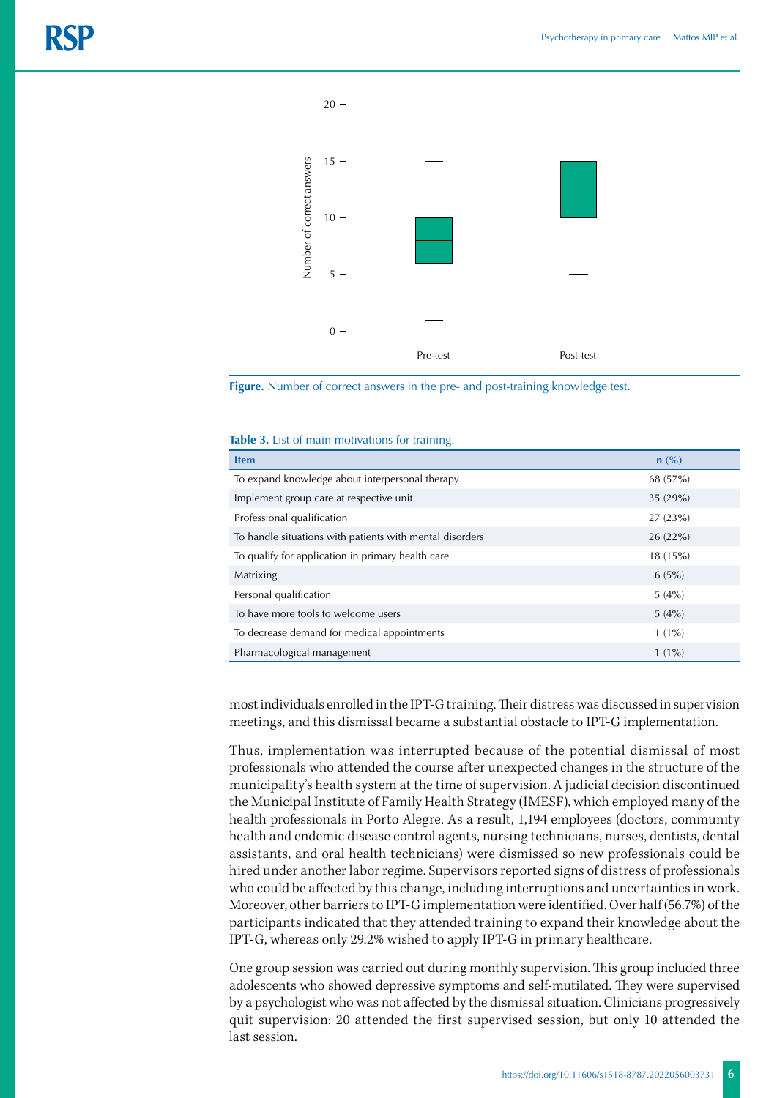



#### **Table 3.** List of main motivations for training.

| <b>Item</b>                                              | $n$ (%)  |
|----------------------------------------------------------|----------|
| To expand knowledge about interpersonal therapy          | 68 (57%) |
| Implement group care at respective unit                  | 35(29%)  |
| Professional qualification                               | 27(23%)  |
| To handle situations with patients with mental disorders | 26(22%)  |
| To qualify for application in primary health care        | 18(15%)  |
| Matrixing                                                | $6(5\%)$ |
| Personal qualification                                   | $5(4\%)$ |
| To have more tools to welcome users                      | $5(4\%)$ |
| To decrease demand for medical appointments              | $1(1\%)$ |
| Pharmacological management                               | $1(1\%)$ |

most individuals enrolled in the IPT-G training. Their distress was discussed in supervision meetings, and this dismissal became a substantial obstacle to IPT-G implementation.

Thus, implementation was interrupted because of the potential dismissal of most professionals who attended the course after unexpected changes in the structure of the municipality's health system at the time of supervision. A judicial decision discontinued the Municipal Institute of Family Health Strategy (IMESF), which employed many of the health professionals in Porto Alegre. As a result, 1,194 employees (doctors, community health and endemic disease control agents, nursing technicians, nurses, dentists, dental assistants, and oral health technicians) were dismissed so new professionals could be hired under another labor regime. Supervisors reported signs of distress of professionals who could be affected by this change, including interruptions and uncertainties in work. Moreover, other barriers to IPT-G implementation were identified. Over half (56.7%) of the participants indicated that they attended training to expand their knowledge about the IPT-G, whereas only 29.2% wished to apply IPT-G in primary healthcare.

One group session was carried out during monthly supervision. This group included three adolescents who showed depressive symptoms and self-mutilated. They were supervised by a psychologist who was not affected by the dismissal situation. Clinicians progressively quit supervision: 20 attended the first supervised session, but only 10 attended the last session.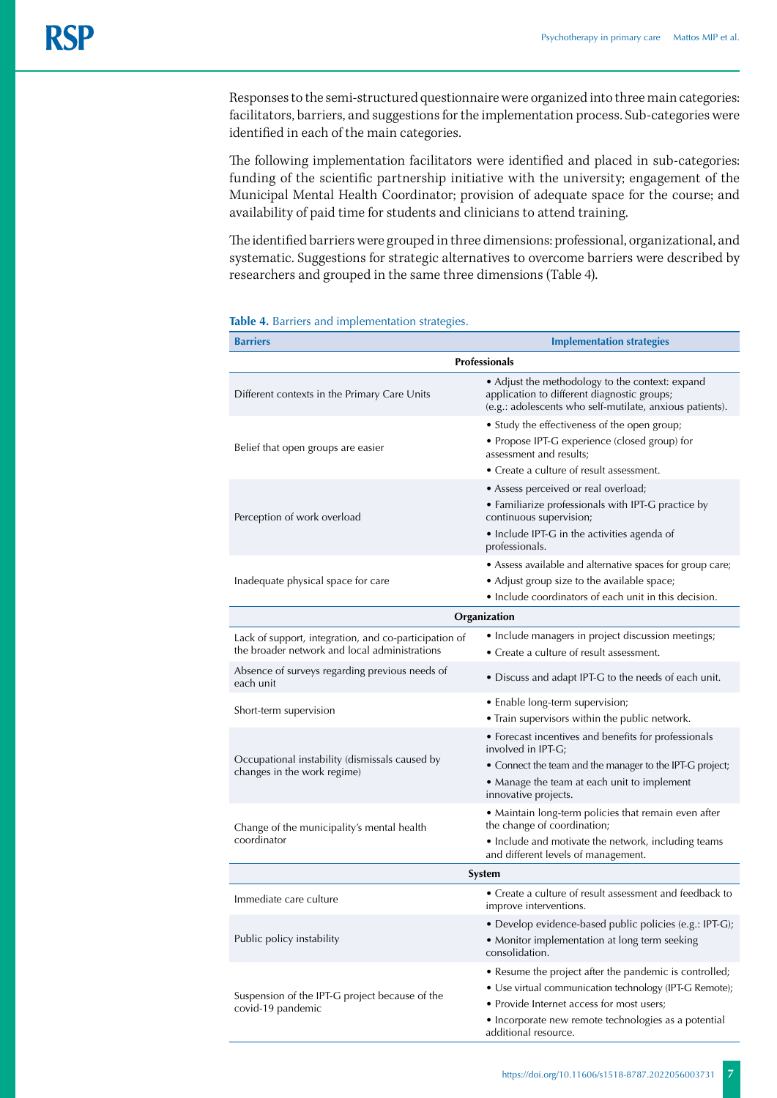Responses to the semi-structured questionnaire were organized into three main categories: facilitators, barriers, and suggestions for the implementation process. Sub-categories were identified in each of the main categories.

The following implementation facilitators were identified and placed in sub-categories: funding of the scientific partnership initiative with the university; engagement of the Municipal Mental Health Coordinator; provision of adequate space for the course; and availability of paid time for students and clinicians to attend training.

The identified barriers were grouped in three dimensions: professional, organizational, and systematic. Suggestions for strategic alternatives to overcome barriers were described by researchers and grouped in the same three dimensions (Table 4).

| <b>Barriers</b>                                                                                        | <b>Implementation strategies</b>                                                                                                                                                                                                              |  |  |  |
|--------------------------------------------------------------------------------------------------------|-----------------------------------------------------------------------------------------------------------------------------------------------------------------------------------------------------------------------------------------------|--|--|--|
| <b>Professionals</b>                                                                                   |                                                                                                                                                                                                                                               |  |  |  |
| Different contexts in the Primary Care Units                                                           | • Adjust the methodology to the context: expand<br>application to different diagnostic groups;<br>(e.g.: adolescents who self-mutilate, anxious patients).                                                                                    |  |  |  |
| Belief that open groups are easier                                                                     | • Study the effectiveness of the open group;<br>· Propose IPT-G experience (closed group) for<br>assessment and results;<br>• Create a culture of result assessment.                                                                          |  |  |  |
| Perception of work overload                                                                            | • Assess perceived or real overload;<br>• Familiarize professionals with IPT-G practice by<br>continuous supervision;<br>• Include IPT-G in the activities agenda of<br>professionals.                                                        |  |  |  |
| Inadequate physical space for care                                                                     | • Assess available and alternative spaces for group care;<br>• Adjust group size to the available space;<br>• Include coordinators of each unit in this decision.                                                                             |  |  |  |
|                                                                                                        | Organization                                                                                                                                                                                                                                  |  |  |  |
| Lack of support, integration, and co-participation of<br>the broader network and local administrations | • Include managers in project discussion meetings;<br>• Create a culture of result assessment.                                                                                                                                                |  |  |  |
| Absence of surveys regarding previous needs of<br>each unit                                            | • Discuss and adapt IPT-G to the needs of each unit.                                                                                                                                                                                          |  |  |  |
| Short-term supervision                                                                                 | • Enable long-term supervision;<br>• Train supervisors within the public network.                                                                                                                                                             |  |  |  |
| Occupational instability (dismissals caused by<br>changes in the work regime)                          | • Forecast incentives and benefits for professionals<br>involved in IPT-G;<br>• Connect the team and the manager to the IPT-G project;<br>• Manage the team at each unit to implement<br>innovative projects.                                 |  |  |  |
| Change of the municipality's mental health<br>coordinator                                              | • Maintain long-term policies that remain even after<br>the change of coordination;<br>• Include and motivate the network, including teams<br>and different levels of management.                                                             |  |  |  |
| System                                                                                                 |                                                                                                                                                                                                                                               |  |  |  |
| Immediate care culture                                                                                 | • Create a culture of result assessment and feedback to<br>improve interventions.                                                                                                                                                             |  |  |  |
| Public policy instability                                                                              | · Develop evidence-based public policies (e.g.: IPT-G);<br>• Monitor implementation at long term seeking<br>consolidation.                                                                                                                    |  |  |  |
| Suspension of the IPT-G project because of the<br>covid-19 pandemic                                    | • Resume the project after the pandemic is controlled;<br>• Use virtual communication technology (IPT-G Remote);<br>• Provide Internet access for most users;<br>• Incorporate new remote technologies as a potential<br>additional resource. |  |  |  |

|  |  |  |  |  | <b>Table 4.</b> Barriers and implementation strategies. |  |
|--|--|--|--|--|---------------------------------------------------------|--|
|--|--|--|--|--|---------------------------------------------------------|--|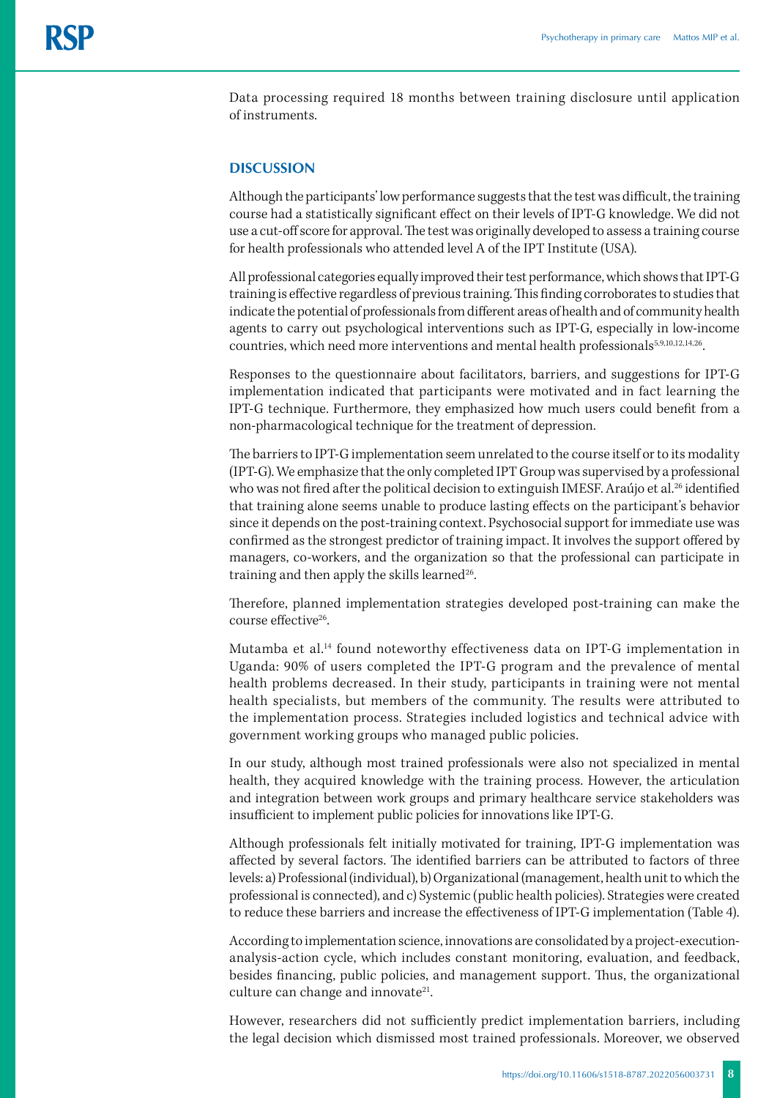Data processing required 18 months between training disclosure until application of instruments.

#### **DISCUSSION**

Although the participants' low performance suggests that the test was difficult, the training course had a statistically significant effect on their levels of IPT-G knowledge. We did not use a cut-off score for approval. The test was originally developed to assess a training course for health professionals who attended level A of the IPT Institute (USA).

All professional categories equally improved their test performance, which shows that IPT-G training is effective regardless of previous training. This finding corroborates to studies that indicate the potential of professionals from different areas of health and of community health agents to carry out psychological interventions such as IPT-G, especially in low-income countries, which need more interventions and mental health professionals<sup>5,9,10,12,14,26</sup>.

Responses to the questionnaire about facilitators, barriers, and suggestions for IPT-G implementation indicated that participants were motivated and in fact learning the IPT-G technique. Furthermore, they emphasized how much users could benefit from a non-pharmacological technique for the treatment of depression.

The barriers to IPT-G implementation seem unrelated to the course itself or to its modality (IPT-G). We emphasize that the only completed IPT Group was supervised by a professional who was not fired after the political decision to extinguish IMESF. Araújo et al.<sup>26</sup> identified that training alone seems unable to produce lasting effects on the participant's behavior since it depends on the post-training context. Psychosocial support for immediate use was confirmed as the strongest predictor of training impact. It involves the support offered by managers, co-workers, and the organization so that the professional can participate in training and then apply the skills learned $26$ .

Therefore, planned implementation strategies developed post-training can make the course effective26.

Mutamba et al.14 found noteworthy effectiveness data on IPT-G implementation in Uganda: 90% of users completed the IPT-G program and the prevalence of mental health problems decreased. In their study, participants in training were not mental health specialists, but members of the community. The results were attributed to the implementation process. Strategies included logistics and technical advice with government working groups who managed public policies.

In our study, although most trained professionals were also not specialized in mental health, they acquired knowledge with the training process. However, the articulation and integration between work groups and primary healthcare service stakeholders was insufficient to implement public policies for innovations like IPT-G.

Although professionals felt initially motivated for training, IPT-G implementation was affected by several factors. The identified barriers can be attributed to factors of three levels: a) Professional (individual), b) Organizational (management, health unit to which the professional is connected), and c) Systemic (public health policies). Strategies were created to reduce these barriers and increase the effectiveness of IPT-G implementation (Table 4).

According to implementation science, innovations are consolidated by a project-executionanalysis-action cycle, which includes constant monitoring, evaluation, and feedback, besides financing, public policies, and management support. Thus, the organizational culture can change and innovate<sup>21</sup>.

However, researchers did not sufficiently predict implementation barriers, including the legal decision which dismissed most trained professionals. Moreover, we observed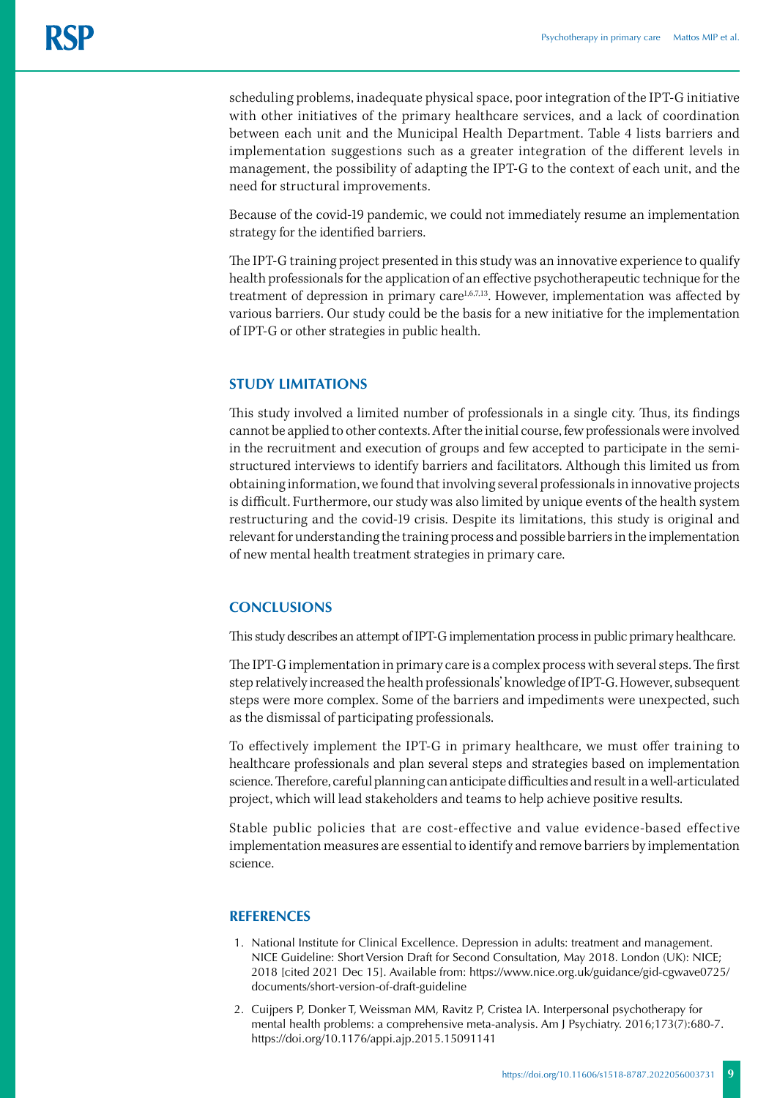scheduling problems, inadequate physical space, poor integration of the IPT-G initiative with other initiatives of the primary healthcare services, and a lack of coordination between each unit and the Municipal Health Department. Table 4 lists barriers and implementation suggestions such as a greater integration of the different levels in management, the possibility of adapting the IPT-G to the context of each unit, and the need for structural improvements.

Because of the covid-19 pandemic, we could not immediately resume an implementation strategy for the identified barriers.

The IPT-G training project presented in this study was an innovative experience to qualify health professionals for the application of an effective psychotherapeutic technique for the treatment of depression in primary care<sup>1,6,7,13</sup>. However, implementation was affected by various barriers. Our study could be the basis for a new initiative for the implementation of IPT-G or other strategies in public health.

# **STUDY LIMITATIONS**

This study involved a limited number of professionals in a single city. Thus, its findings cannot be applied to other contexts. After the initial course, few professionals were involved in the recruitment and execution of groups and few accepted to participate in the semistructured interviews to identify barriers and facilitators. Although this limited us from obtaining information, we found that involving several professionals in innovative projects is difficult. Furthermore, our study was also limited by unique events of the health system restructuring and the covid-19 crisis. Despite its limitations, this study is original and relevant for understanding the training process and possible barriers in the implementation of new mental health treatment strategies in primary care.

## **CONCLUSIONS**

This study describes an attempt of IPT-G implementation process in public primary healthcare.

The IPT-G implementation in primary care is a complex process with several steps. The first step relatively increased the health professionals' knowledge of IPT-G. However, subsequent steps were more complex. Some of the barriers and impediments were unexpected, such as the dismissal of participating professionals.

To effectively implement the IPT-G in primary healthcare, we must offer training to healthcare professionals and plan several steps and strategies based on implementation science. Therefore, careful planning can anticipate difficulties and result in a well-articulated project, which will lead stakeholders and teams to help achieve positive results.

Stable public policies that are cost-effective and value evidence-based effective implementation measures are essential to identify and remove barriers by implementation science.

## **REFERENCES**

- 1. National Institute for Clinical Excellence. Depression in adults: treatment and management. NICE Guideline: Short Version Draft for Second Consultation, May 2018. London (UK): NICE; 2018 [cited 2021 Dec 15]. Available from: [https://www.nice.org.uk/guidance/gid-cgwave0725/](https://www.nice.org.uk/guidance/gid-cgwave0725/documents/short-version-of-draft-guideline) [documents/short-version-of-draft-guideline](https://www.nice.org.uk/guidance/gid-cgwave0725/documents/short-version-of-draft-guideline)
- 2. Cuijpers P, Donker T, Weissman MM, Ravitz P, Cristea IA. Interpersonal psychotherapy for mental health problems: a comprehensive meta-analysis. Am J Psychiatry. 2016;173(7):680-7. https://doi.org/10.1176/appi.ajp.2015.15091141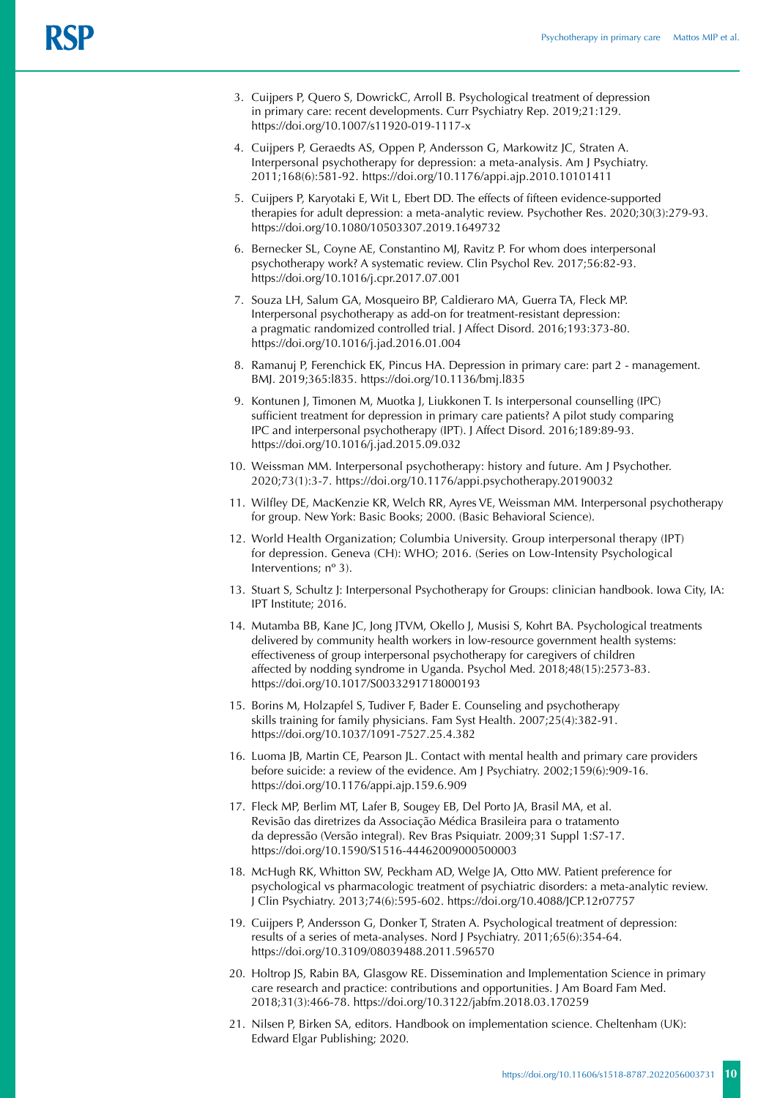- 3. Cuijpers P, Quero S, DowrickC, Arroll B. Psychological treatment of depression in primary care: recent developments. Curr Psychiatry Rep. 2019;21:129. https://doi.org/10.1007/s11920-019-1117-x
- 4. Cuijpers P, Geraedts AS, Oppen P, Andersson G, Markowitz JC, Straten A. Interpersonal psychotherapy for depression: a meta-analysis. Am J Psychiatry. 2011;168(6):581-92. https://doi.org/10.1176/appi.ajp.2010.10101411
- 5. Cuijpers P, Karyotaki E, Wit L, Ebert DD. The effects of fifteen evidence-supported therapies for adult depression: a meta-analytic review. Psychother Res. 2020;30(3):279-93. https://doi.org/10.1080/10503307.2019.1649732
- 6. Bernecker SL, Coyne AE, Constantino MJ, Ravitz P. For whom does interpersonal psychotherapy work? A systematic review. Clin Psychol Rev. 2017;56:82-93. https://doi.org/10.1016/j.cpr.2017.07.001
- 7. Souza LH, Salum GA, Mosqueiro BP, Caldieraro MA, Guerra TA, Fleck MP. Interpersonal psychotherapy as add-on for treatment-resistant depression: a pragmatic randomized controlled trial. J Affect Disord. 2016;193:373-80. https://doi.org/10.1016/j.jad.2016.01.004
- 8. Ramanuj P, Ferenchick EK, Pincus HA. Depression in primary care: part 2 management. BMJ. 2019;365:l835. https://doi.org/10.1136/bmj.l835
- 9. Kontunen J, Timonen M, Muotka J, Liukkonen T. Is interpersonal counselling (IPC) sufficient treatment for depression in primary care patients? A pilot study comparing IPC and interpersonal psychotherapy (IPT). J Affect Disord. 2016;189:89-93. https://doi.org/10.1016/j.jad.2015.09.032
- 10. Weissman MM. Interpersonal psychotherapy: history and future. Am J Psychother. 2020;73(1):3-7. https://doi.org/10.1176/appi.psychotherapy.20190032
- 11. Wilfley DE, MacKenzie KR, Welch RR, Ayres VE, Weissman MM. Interpersonal psychotherapy for group. New York: Basic Books; 2000. (Basic Behavioral Science).
- 12. World Health Organization; Columbia University. Group interpersonal therapy (IPT) for depression. Geneva (CH): WHO; 2016. (Series on Low-Intensity Psychological Interventions; nº 3).
- 13. Stuart S, Schultz J: Interpersonal Psychotherapy for Groups: clinician handbook. Iowa City, IA: IPT Institute; 2016.
- 14. Mutamba BB, Kane JC, Jong JTVM, Okello J, Musisi S, Kohrt BA. Psychological treatments delivered by community health workers in low-resource government health systems: effectiveness of group interpersonal psychotherapy for caregivers of children affected by nodding syndrome in Uganda. Psychol Med. 2018;48(15):2573-83. https://doi.org/10.1017/S0033291718000193
- 15. Borins M, Holzapfel S, Tudiver F, Bader E. Counseling and psychotherapy skills training for family physicians. Fam Syst Health. 2007;25(4):382-91. https://doi.org/10.1037/1091-7527.25.4.382
- 16. Luoma JB, Martin CE, Pearson JL. Contact with mental health and primary care providers before suicide: a review of the evidence. Am J Psychiatry. 2002;159(6):909-16. https://doi.org/10.1176/appi.ajp.159.6.909
- 17. Fleck MP, Berlim MT, Lafer B, Sougey EB, Del Porto JA, Brasil MA, et al. Revisão das diretrizes da Associação Médica Brasileira para o tratamento da depressão (Versão integral). Rev Bras Psiquiatr. 2009;31 Suppl 1:S7-17. https://doi.org/10.1590/S1516-44462009000500003
- 18. McHugh RK, Whitton SW, Peckham AD, Welge JA, Otto MW. Patient preference for psychological vs pharmacologic treatment of psychiatric disorders: a meta-analytic review. J Clin Psychiatry. 2013;74(6):595-602. https://doi.org/10.4088/JCP.12r07757
- 19. Cuijpers P, Andersson G, Donker T, Straten A. Psychological treatment of depression: results of a series of meta-analyses. Nord J Psychiatry. 2011;65(6):354-64. https://doi.org/10.3109/08039488.2011.596570
- 20. Holtrop JS, Rabin BA, Glasgow RE. Dissemination and Implementation Science in primary care research and practice: contributions and opportunities. J Am Board Fam Med. 2018;31(3):466-78. https://doi.org/10.3122/jabfm.2018.03.170259
- 21. Nilsen P, Birken SA, editors. Handbook on implementation science. Cheltenham (UK): Edward Elgar Publishing; 2020.